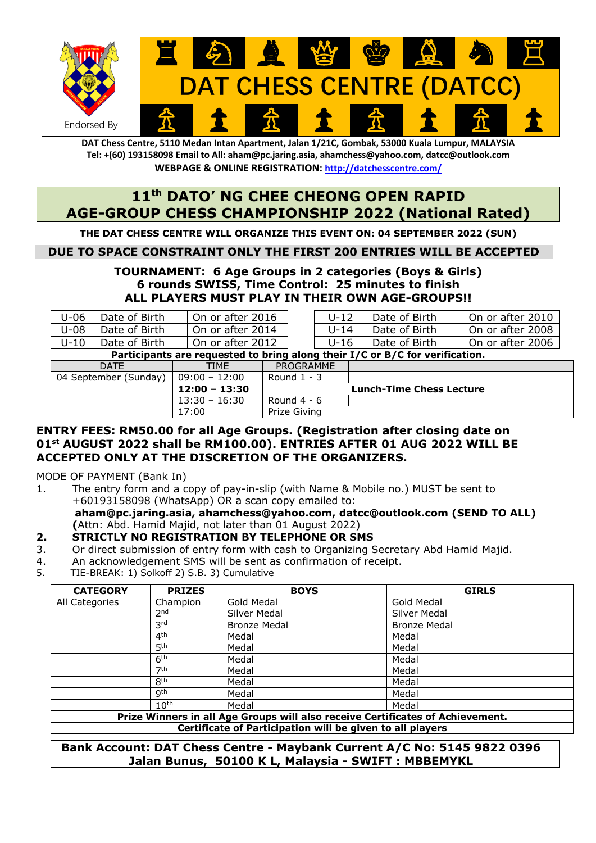

**DAT Chess Centre, 5110 Medan Intan Apartment, Jalan 1/21C, Gombak, 53000 Kuala Lumpur, MALAYSIA Tel: +(60) 193158098 Email to All: aham@pc.jaring.asia, ahamchess@yahoo.com, datcc@outlook.com WEBPAGE & ONLINE REGISTRATION: http://datchesscentre.com/**

# **11th DATO' NG CHEE CHEONG OPEN RAPID AGE-GROUP CHESS CHAMPIONSHIP 2022 (National Rated)**

**THE DAT CHESS CENTRE WILL ORGANIZE THIS EVENT ON: 04 SEPTEMBER 2022 (SUN)**

## **DUE TO SPACE CONSTRAINT ONLY THE FIRST 200 ENTRIES WILL BE ACCEPTED**

## **TOURNAMENT: 6 Age Groups in 2 categories (Boys & Girls) 6 rounds SWISS, Time Control: 25 minutes to finish ALL PLAYERS MUST PLAY IN THEIR OWN AGE-GROUPS!!**

| $U-06$                                                                       | Date of Birth | On or after 2016 |            | U-12   | Date of Birth | On or after 2010 |  |  |  |  |
|------------------------------------------------------------------------------|---------------|------------------|------------|--------|---------------|------------------|--|--|--|--|
| $U-08$                                                                       | Date of Birth | On or after 2014 |            | l J-14 | Date of Birth | On or after 2008 |  |  |  |  |
| $U-10$                                                                       | Date of Birth | On or after 2012 |            | U-16   | Date of Birth | On or after 2006 |  |  |  |  |
| Participants are requested to bring along their I/C or B/C for verification. |               |                  |            |        |               |                  |  |  |  |  |
|                                                                              |               |                  | ---------- |        |               |                  |  |  |  |  |

| DATE                  | TIME            | PROGRAMME     |                                 |
|-----------------------|-----------------|---------------|---------------------------------|
| 04 September (Sunday) | $09:00 - 12:00$ | Round $1 - 3$ |                                 |
|                       | 12:00 - 13:30   |               | <b>Lunch-Time Chess Lecture</b> |
|                       |                 |               |                                 |
|                       | $13:30 - 16:30$ | Round $4 - 6$ |                                 |

## **ENTRY FEES: RM50.00 for all Age Groups. (Registration after closing date on 01st AUGUST 2022 shall be RM100.00). ENTRIES AFTER 01 AUG 2022 WILL BE ACCEPTED ONLY AT THE DISCRETION OF THE ORGANIZERS.**

MODE OF PAYMENT (Bank In)

1. The entry form and a copy of pay-in-slip (with Name & Mobile no.) MUST be sent to +60193158098 (WhatsApp) OR a scan copy emailed to: **aham@pc.jaring.asia, ahamchess@yahoo.com, datcc@outlook.com (SEND TO ALL) (**Attn: Abd. Hamid Majid, not later than 01 August 2022)

#### **2. STRICTLY NO REGISTRATION BY TELEPHONE OR SMS**

- 3. Or direct submission of entry form with cash to Organizing Secretary Abd Hamid Majid.
- 4. An acknowledgement SMS will be sent as confirmation of receipt.
- 5. TIE-BREAK: 1) Solkoff 2) S.B. 3) Cumulative

| <b>CATEGORY</b>                                                                | <b>PRIZES</b>    | <b>BOYS</b>         | <b>GIRLS</b>        |  |  |  |  |  |
|--------------------------------------------------------------------------------|------------------|---------------------|---------------------|--|--|--|--|--|
| All Categories                                                                 | Champion         | Gold Medal          | Gold Medal          |  |  |  |  |  |
|                                                                                | 2 <sub>nd</sub>  | Silver Medal        | Silver Medal        |  |  |  |  |  |
|                                                                                | 3 <sup>rd</sup>  | <b>Bronze Medal</b> | <b>Bronze Medal</b> |  |  |  |  |  |
|                                                                                | 4 <sup>th</sup>  | Medal               | Medal               |  |  |  |  |  |
|                                                                                | 5 <sup>th</sup>  | Medal               | Medal               |  |  |  |  |  |
|                                                                                | 6 <sup>th</sup>  | Medal               | Medal               |  |  |  |  |  |
|                                                                                | 7 <sup>th</sup>  | Medal               | Medal               |  |  |  |  |  |
|                                                                                | <b>Rth</b>       | Medal               | Medal               |  |  |  |  |  |
|                                                                                | <b>g</b> th      | Medal               | Medal               |  |  |  |  |  |
|                                                                                | 10 <sup>th</sup> | Medal               | Medal               |  |  |  |  |  |
| Prize Winners in all Age Groups will also receive Certificates of Achievement. |                  |                     |                     |  |  |  |  |  |
| Certificate of Participation will be given to all players                      |                  |                     |                     |  |  |  |  |  |

**Bank Account: DAT Chess Centre - Maybank Current A/C No: 5145 9822 0396 Jalan Bunus, 50100 K L, Malaysia - SWIFT : MBBEMYKL**